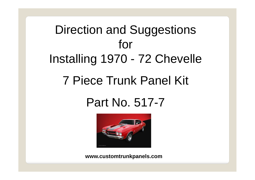# Direction and Suggestions for Installing 1970 - 72 Chevelle 7 Piece Trunk Panel Kit

## Part No. 517-7



**www.customtrunkpanels.com**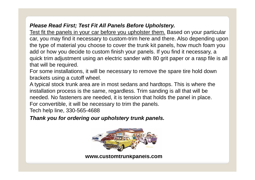### *Please Read First; Test Fit All Panels Before Upholstery.*

Test fit the panels in your car before you upholster them. Based on your particular car, you may find it necessary to custom-trim here and there. Also depending upon the type of material you choose to cover the trunk kit panels, how much foam you add or how you decide to custom finish your panels. If you find it necessary, a quick trim adjustment using an electric sander with 80 grit paper or a rasp file is all that will be required.

For some installations, it will be necessary to remove the spare tire hold down brackets using a cutoff wheel.

A typical stock trunk area are in most sedans and hardtops. This is where the installation process is the same, regardless. Trim sanding is all that will be needed. No fasteners are needed, it is tension that holds the panel in place. For convertible, it will be necessary to trim the panels.

Tech help line, 330-565-4688

### *Thank you for ordering our upholstery trunk panels.*



**www.customtrunkpanels.com**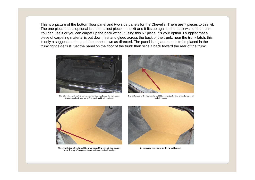This is a picture of the bottom floor panel and two side panels for the Chevelle. There are 7 pieces to this kit. The one piece that is optional is the smallest piece in the kit and it fits up against the back wall of the trunk. You can use it or you can carpet up the back without using this 5<sup>th</sup> piece, it's your option. I suggest that a piece of carpeting material is put down first and glued across the back of the trunk, near the trunk latch, this is only a suggestion, then put the panel down as directed. The panel is big and needs to be placed in the trunk right side first. Set the panel on the floor of the trunk then slide it back toward the rear of the trunk.



The Chevelle trunk for the trunk panel kit. You can leave the hold down bracet in palce if you want. This trunk had it left in place.



The first piece is the floor and should fit against the bottom of the fender well on both sides.



The left side is next and should be snug against the rear tail light housing area. The top of the panel should be inside the the trunk lip.



Do the same exact setup on the right side panel.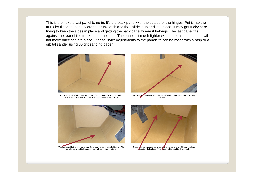This is the next to last panel to go in. It's the back panel with the cutout for the hinges. Put it into the trunk by tilting the top toward the trunk latch and then slide it up and into place. It may get tricky here trying to keep the sides in place and getting the back panel where it belongs. The last panel fits against the rear of the trunk under the latch. The panels fit much tighter with material on them and will not move once set into place. Please Note: Adjustments to the panels fit can be made with a rasp or a orbital sander using 80 grit sanding paper.



The next panel in is the back panel with the notchs for the hinges. Tilt the panel toward the back and then tilt into place under each hinge.



Note how the panels fit when the panel is in the right place of the trunk lip. See arrow.



The last panel is the rear panel that fits under the trunk latch hold down. The panels may need to be sanded down if using thick material.



There not be enough clearance or the panels and will fill in once al the holstery is in place. You not need to sand to fit precisely.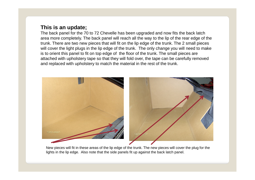#### **This is an update;**

The back panel for the 70 to 72 Chevelle has been upgraded and now fits the back latch area more completely. The back panel will reach all the way to the lip of the rear edge of the trunk. There are two new pieces that will fit on the lip edge of the trunk. The 2 small pieces will cover the light plugs in the lip edge of the trunk. The only change you will need to make is to orient this panel to fit on top edge of the floor of the trunk. The small pieces are attached with upholstery tape so that they will fold over, the tape can be carefully removed and replaced with upholstery to match the material in the rest of the trunk.



New pieces will fit in these areas of the lip edge of the trunk. The new pieces will cover the plug for the lights in the lip edge. Also note that the side panels fit up against the back latch panel.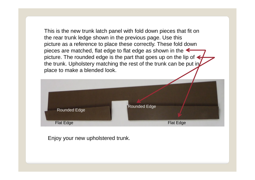This is the new trunk latch panel with fold down pieces that fit on the rear trunk ledge shown in the previous page. Use this picture as a reference to place these correctly. These fold down pieces are matched, flat edge to flat edge as shown in the  $\leftarrow$ picture. The rounded edge is the part that goes up on the lip of the trunk. Upholstery matching the rest of the trunk can be put in place to make a blended look.



Enjoy your new upholstered trunk.